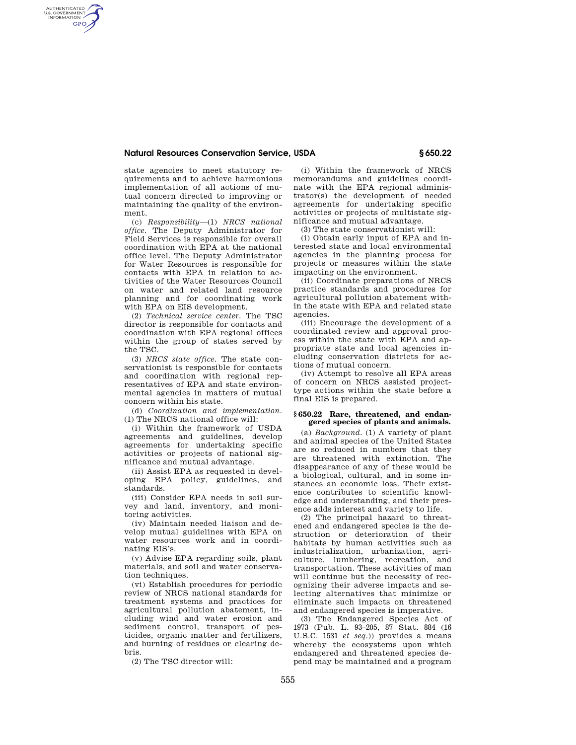# **Natural Resources Conservation Service, USDA § 650.22**

state agencies to meet statutory requirements and to achieve harmonious implementation of all actions of mutual concern directed to improving or maintaining the quality of the environment.

AUTHENTICATED<br>U.S. GOVERNMENT<br>INFORMATION **GPO** 

> (c) *Responsibility*—(1) *NRCS national office.* The Deputy Administrator for Field Services is responsible for overall coordination with EPA at the national office level. The Deputy Administrator for Water Resources is responsible for contacts with EPA in relation to activities of the Water Resources Council on water and related land resource planning and for coordinating work with EPA on EIS development.

> (2) *Technical service center.* The TSC director is responsible for contacts and coordination with EPA regional offices within the group of states served by the TSC.

> (3) *NRCS state office.* The state conservationist is responsible for contacts and coordination with regional representatives of EPA and state environmental agencies in matters of mutual concern within his state.

> (d) *Coordination and implementation.*  (1) The NRCS national office will:

> (i) Within the framework of USDA agreements and guidelines, develop agreements for undertaking specific activities or projects of national significance and mutual advantage.

> (ii) Assist EPA as requested in developing EPA policy, guidelines, and standards.

> (iii) Consider EPA needs in soil survey and land, inventory, and monitoring activities.

> (iv) Maintain needed liaison and develop mutual guidelines with EPA on water resources work and in coordinating EIS's.

> (v) Advise EPA regarding soils, plant materials, and soil and water conservation techniques.

> (vi) Establish procedures for periodic review of NRCS national standards for treatment systems and practices for agricultural pollution abatement, including wind and water erosion and sediment control, transport of pesticides, organic matter and fertilizers, and burning of residues or clearing debris.

(2) The TSC director will:

(i) Within the framework of NRCS memorandums and guidelines coordinate with the EPA regional administrator(s) the development of needed agreements for undertaking specific activities or projects of multistate significance and mutual advantage.

(3) The state conservationist will:

(i) Obtain early input of EPA and interested state and local environmental agencies in the planning process for projects or measures within the state impacting on the environment.

(ii) Coordinate preparations of NRCS practice standards and procedures for agricultural pollution abatement within the state with EPA and related state agencies.

(iii) Encourage the development of a coordinated review and approval process within the state with EPA and appropriate state and local agencies including conservation districts for actions of mutual concern.

(iv) Attempt to resolve all EPA areas of concern on NRCS assisted projecttype actions within the state before a final EIS is prepared.

#### **§ 650.22 Rare, threatened, and endangered species of plants and animals.**

(a) *Background.* (1) A variety of plant and animal species of the United States are so reduced in numbers that they are threatened with extinction. The disappearance of any of these would be a biological, cultural, and in some instances an economic loss. Their existence contributes to scientific knowledge and understanding, and their presence adds interest and variety to life.

(2) The principal hazard to threatened and endangered species is the destruction or deterioration of their habitats by human activities such as industrialization, urbanization, agriculture, lumbering, recreation, and transportation. These activities of man will continue but the necessity of recognizing their adverse impacts and selecting alternatives that minimize or eliminate such impacts on threatened and endangered species is imperative.

(3) The Endangered Species Act of 1973 (Pub. L. 93–205, 87 Stat. 884 (16 U.S.C. 1531 *et seq*.)) provides a means whereby the ecosystems upon which endangered and threatened species depend may be maintained and a program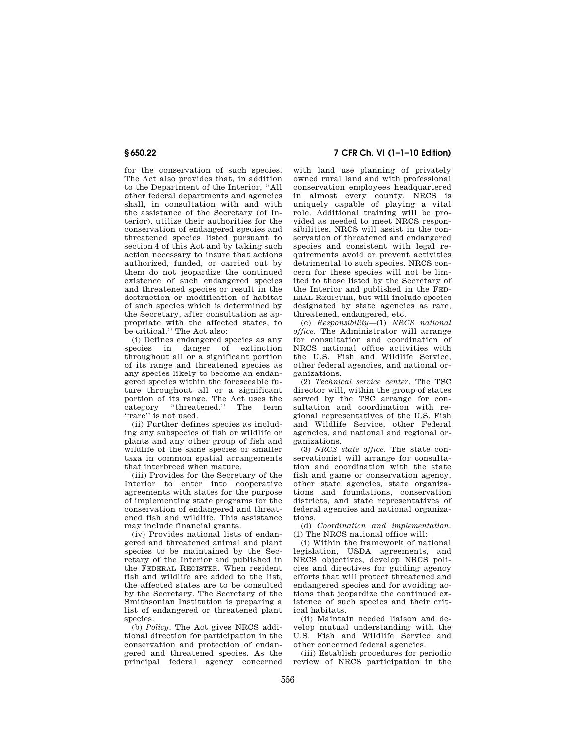for the conservation of such species. The Act also provides that, in addition to the Department of the Interior, ''All other federal departments and agencies shall, in consultation with and with the assistance of the Secretary (of Interior), utilize their authorities for the conservation of endangered species and threatened species listed pursuant to section 4 of this Act and by taking such action necessary to insure that actions authorized, funded, or carried out by them do not jeopardize the continued existence of such endangered species and threatened species or result in the destruction or modification of habitat of such species which is determined by the Secretary, after consultation as appropriate with the affected states, to be critical.'' The Act also:

(i) Defines endangered species as any species in danger of extinction throughout all or a significant portion of its range and threatened species as any species likely to become an endangered species within the foreseeable future throughout all or a significant portion of its range. The Act uses the category "threatened." The term category "threatened." ''rare'' is not used.

(ii) Further defines species as including any subspecies of fish or wildlife or plants and any other group of fish and wildlife of the same species or smaller taxa in common spatial arrangements that interbreed when mature.

(iii) Provides for the Secretary of the Interior to enter into cooperative agreements with states for the purpose of implementing state programs for the conservation of endangered and threatened fish and wildlife. This assistance may include financial grants.

(iv) Provides national lists of endangered and threatened animal and plant species to be maintained by the Secretary of the Interior and published in the FEDERAL REGISTER. When resident fish and wildlife are added to the list, the affected states are to be consulted by the Secretary. The Secretary of the Smithsonian Institution is preparing a list of endangered or threatened plant species.

(b) *Policy.* The Act gives NRCS additional direction for participation in the conservation and protection of endangered and threatened species. As the principal federal agency concerned

# **§ 650.22 7 CFR Ch. VI (1–1–10 Edition)**

with land use planning of privately owned rural land and with professional conservation employees headquartered in almost every county, NRCS is uniquely capable of playing a vital role. Additional training will be provided as needed to meet NRCS responsibilities. NRCS will assist in the conservation of threatened and endangered species and consistent with legal requirements avoid or prevent activities detrimental to such species. NRCS concern for these species will not be limited to those listed by the Secretary of the Interior and published in the FED-ERAL REGISTER, but will include species designated by state agencies as rare, threatened, endangered, etc.

(c) *Responsibility*—(1) *NRCS national office.* The Administrator will arrange for consultation and coordination of NRCS national office activities with the U.S. Fish and Wildlife Service, other federal agencies, and national organizations.

(2) *Technical service center.* The TSC director will, within the group of states served by the TSC arrange for consultation and coordination with regional representatives of the U.S. Fish and Wildlife Service, other Federal agencies, and national and regional organizations.

(3) *NRCS state office.* The state conservationist will arrange for consultation and coordination with the state fish and game or conservation agency, other state agencies, state organizations and foundations, conservation districts, and state representatives of federal agencies and national organizations.

(d) *Coordination and implementation.*  (1) The NRCS national office will:

(i) Within the framework of national legislation, USDA agreements, and NRCS objectives, develop NRCS policies and directives for guiding agency efforts that will protect threatened and endangered species and for avoiding actions that jeopardize the continued existence of such species and their critical habitats.

(ii) Maintain needed liaison and develop mutual understanding with the U.S. Fish and Wildlife Service and other concerned federal agencies.

(iii) Establish procedures for periodic review of NRCS participation in the